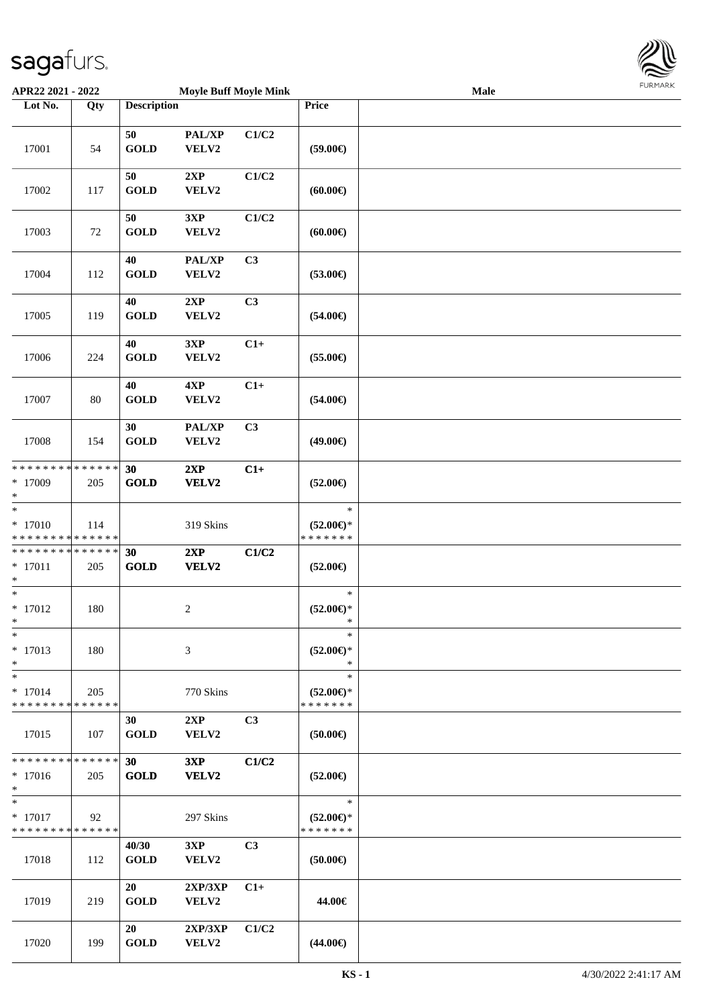

| APR22 2021 - 2022                          |        |                                | <b>Moyle Buff Moyle Mink</b> |                |                     | Male | 1.911171777 |
|--------------------------------------------|--------|--------------------------------|------------------------------|----------------|---------------------|------|-------------|
| Lot No.                                    | Qty    | <b>Description</b>             |                              |                | Price               |      |             |
|                                            |        |                                |                              |                |                     |      |             |
| 17001                                      | 54     | 50<br><b>GOLD</b>              | PAL/XP<br>VELV2              | C1/C2          | $(59.00\epsilon)$   |      |             |
|                                            |        |                                |                              |                |                     |      |             |
|                                            |        | 50                             | 2XP                          | C1/C2          |                     |      |             |
| 17002                                      | 117    | <b>GOLD</b>                    | VELV2                        |                | (60.00)             |      |             |
|                                            |        |                                |                              |                |                     |      |             |
|                                            |        | 50                             | 3XP                          | C1/C2          |                     |      |             |
| 17003                                      | 72     | <b>GOLD</b>                    | VELV2                        |                | $(60.00\epsilon)$   |      |             |
|                                            |        |                                |                              |                |                     |      |             |
|                                            |        | 40                             | PAL/XP                       | C <sub>3</sub> |                     |      |             |
| 17004                                      | 112    | <b>GOLD</b>                    | VELV2                        |                | $(53.00\epsilon)$   |      |             |
|                                            |        | 40                             | 2XP                          | C3             |                     |      |             |
| 17005                                      | 119    | <b>GOLD</b>                    | VELV2                        |                | $(54.00\epsilon)$   |      |             |
|                                            |        |                                |                              |                |                     |      |             |
|                                            |        | 40                             | 3XP                          | $C1+$          |                     |      |             |
| 17006                                      | 224    | <b>GOLD</b>                    | VELV2                        |                | $(55.00\epsilon)$   |      |             |
|                                            |        |                                |                              |                |                     |      |             |
|                                            |        | 40                             | 4XP                          | $C1+$          |                     |      |             |
| 17007                                      | $80\,$ | <b>GOLD</b>                    | VELV2                        |                | $(54.00\epsilon)$   |      |             |
|                                            |        |                                |                              |                |                     |      |             |
|                                            |        | 30<br><b>GOLD</b>              | PAL/XP                       | C3             |                     |      |             |
| 17008                                      | 154    |                                | VELV2                        |                | $(49.00\epsilon)$   |      |             |
| * * * * * * * * <mark>* * * * * * *</mark> |        | 30                             | 2XP                          | $C1+$          |                     |      |             |
| $*17009$                                   | 205    | <b>GOLD</b>                    | VELV2                        |                | $(52.00\epsilon)$   |      |             |
| $\ast$                                     |        |                                |                              |                |                     |      |             |
| $\ast$                                     |        |                                |                              |                | $\ast$              |      |             |
| $* 17010$                                  | 114    |                                | 319 Skins                    |                | $(52.00\epsilon)$ * |      |             |
| * * * * * * * * <mark>* * * * * * *</mark> |        |                                |                              |                | * * * * * * *       |      |             |
| * * * * * * * * <mark>* * * * * * *</mark> |        | 30                             | 2XP                          | C1/C2          |                     |      |             |
| $* 17011$<br>$\ast$                        | 205    | <b>GOLD</b>                    | VELV2                        |                | $(52.00\epsilon)$   |      |             |
| $\ast$                                     |        |                                |                              |                | $\ast$              |      |             |
| $* 17012$                                  | 180    |                                | $\overline{c}$               |                | $(52.00\epsilon)$ * |      |             |
| $\ast$                                     |        |                                |                              |                | $\ast$              |      |             |
| $\ast$                                     |        |                                |                              |                | $\ast$              |      |             |
| $* 17013$                                  | 180    |                                | 3                            |                | $(52.00 \in )$ *    |      |             |
| $\ast$                                     |        |                                |                              |                | $\ast$              |      |             |
| $\ast$                                     |        |                                |                              |                | $\ast$              |      |             |
| $* 17014$                                  | 205    |                                | 770 Skins                    |                | $(52.00 \in )$ *    |      |             |
| * * * * * * * * <mark>* * * * * *</mark>   |        |                                |                              |                | * * * * * * *       |      |             |
| 17015                                      | 107    | 30<br><b>GOLD</b>              | 2XP<br>VELV2                 | C3             | (50.00)             |      |             |
|                                            |        |                                |                              |                |                     |      |             |
| * * * * * * * * <mark>* * * * * *</mark> * |        | 30                             | 3XP                          | C1/C2          |                     |      |             |
| $*17016$                                   | 205    | <b>GOLD</b>                    | <b>VELV2</b>                 |                | $(52.00\epsilon)$   |      |             |
| $\ast$                                     |        |                                |                              |                |                     |      |             |
| $\ast$                                     |        |                                |                              |                | $\ast$              |      |             |
| $* 17017$                                  | 92     |                                | 297 Skins                    |                | $(52.00\epsilon)$ * |      |             |
| * * * * * * * * * * * * * *                |        |                                |                              |                | * * * * * * *       |      |             |
| 17018                                      | 112    | 40/30<br><b>GOLD</b>           | 3XP<br>VELV2                 | C <sub>3</sub> |                     |      |             |
|                                            |        |                                |                              |                | $(50.00\epsilon)$   |      |             |
|                                            |        | 20                             | 2XP/3XP                      | $C1+$          |                     |      |             |
| 17019                                      | 219    | <b>GOLD</b>                    | <b>VELV2</b>                 |                | 44.00€              |      |             |
|                                            |        |                                |                              |                |                     |      |             |
|                                            |        | 20                             | 2XP/3XP                      | C1/C2          |                     |      |             |
| 17020                                      | 199    | $\operatorname{\mathbf{GOLD}}$ | <b>VELV2</b>                 |                | $(44.00\epsilon)$   |      |             |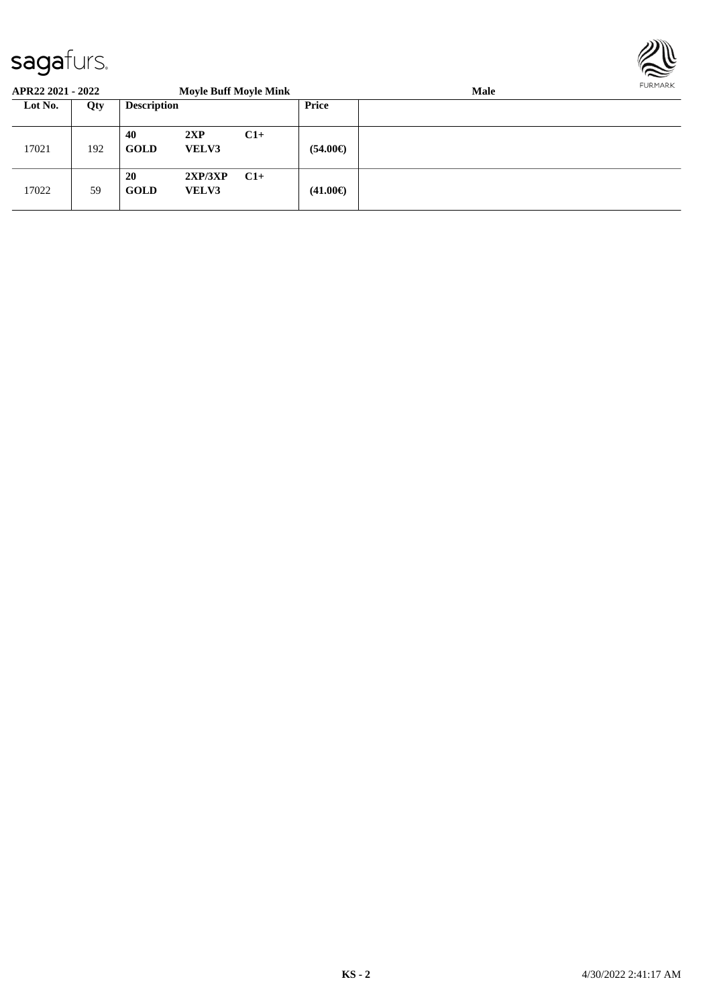

| APR22 2021 - 2022 |     |                    | <b>Moyle Buff Moyle Mink</b> |       | Male              |  |  |  |
|-------------------|-----|--------------------|------------------------------|-------|-------------------|--|--|--|
| Lot No.           | Qty | <b>Description</b> |                              |       | Price             |  |  |  |
| 17021             | 192 | 40<br><b>GOLD</b>  | 2XP<br><b>VELV3</b>          | $C1+$ | $(54.00\epsilon)$ |  |  |  |
| 17022             | 59  | 20<br><b>GOLD</b>  | 2XP/3XP<br><b>VELV3</b>      | $C1+$ | $(41.00\epsilon)$ |  |  |  |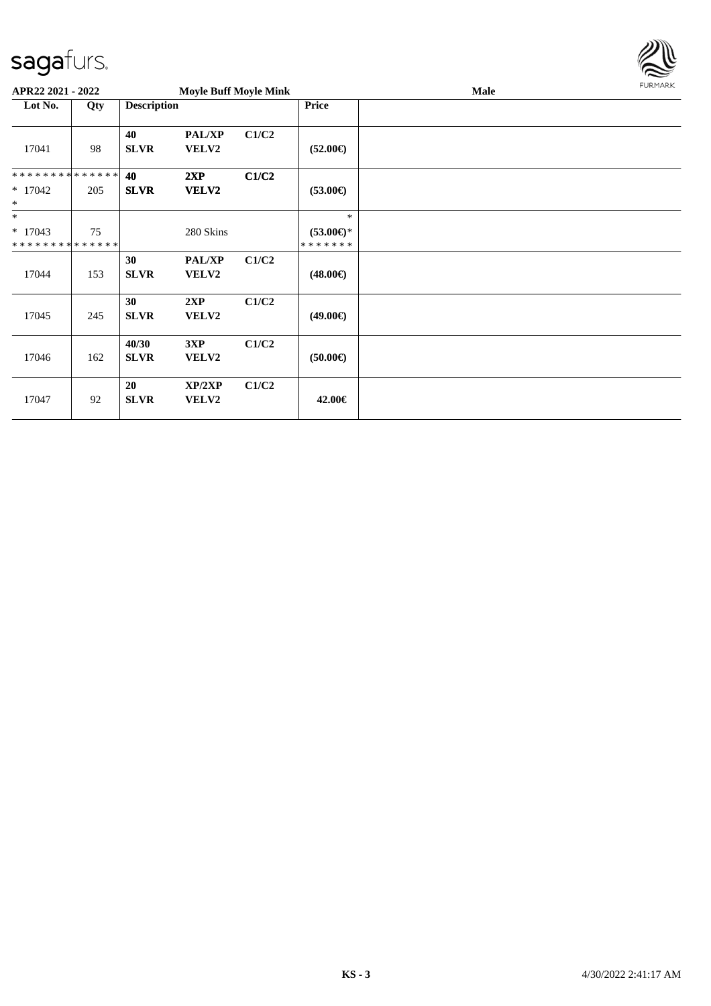

| APR22 2021 - 2022                                  |     |                      | <b>Moyle Buff Moyle Mink</b> |       |                                                | <b>Male</b> | <b>FURMARK</b> |
|----------------------------------------------------|-----|----------------------|------------------------------|-------|------------------------------------------------|-------------|----------------|
| Lot No.                                            | Qty | <b>Description</b>   |                              |       | Price                                          |             |                |
| 17041                                              | 98  | 40<br><b>SLVR</b>    | <b>PAL/XP</b><br>VELV2       | C1/C2 | $(52.00\epsilon)$                              |             |                |
| **************<br>$*17042$<br>$\ast$               | 205 | 40<br><b>SLVR</b>    | 2XP<br>VELV2                 | C1/C2 | $(53.00\epsilon)$                              |             |                |
| $\ast$<br>$* 17043$<br>* * * * * * * * * * * * * * | 75  |                      | 280 Skins                    |       | $\ast$<br>$(53.00\epsilon)$ *<br>* * * * * * * |             |                |
| 17044                                              | 153 | 30<br><b>SLVR</b>    | <b>PAL/XP</b><br>VELV2       | C1/C2 | $(48.00\epsilon)$                              |             |                |
| 17045                                              | 245 | 30<br><b>SLVR</b>    | 2XP<br><b>VELV2</b>          | C1/C2 | $(49.00\epsilon)$                              |             |                |
| 17046                                              | 162 | 40/30<br><b>SLVR</b> | 3XP<br><b>VELV2</b>          | C1/C2 | $(50.00\epsilon)$                              |             |                |
| 17047                                              | 92  | 20<br><b>SLVR</b>    | XP/2XP<br>VELV2              | C1/C2 | 42.00€                                         |             |                |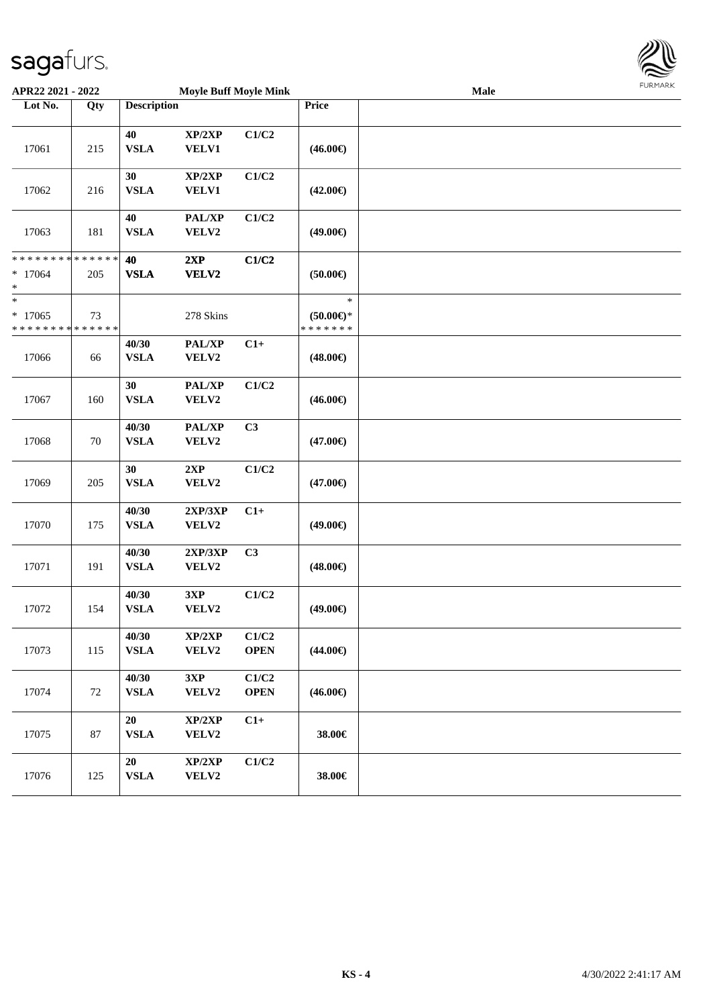

| APR22 2021 - 2022                                                |     | <b>Moyle Buff Moyle Mink</b> |                        |                      | Male                                        |  |  |  |
|------------------------------------------------------------------|-----|------------------------------|------------------------|----------------------|---------------------------------------------|--|--|--|
| Lot No.                                                          | Qty | <b>Description</b>           |                        |                      | Price                                       |  |  |  |
| 17061                                                            | 215 | $40\,$<br><b>VSLA</b>        | XP/2XP<br><b>VELV1</b> | C1/C2                | $(46.00\epsilon)$                           |  |  |  |
| 17062                                                            | 216 | 30<br><b>VSLA</b>            | XP/2XP<br><b>VELV1</b> | C1/C2                | $(42.00\epsilon)$                           |  |  |  |
| 17063                                                            | 181 | 40<br><b>VSLA</b>            | PAL/XP<br>VELV2        | C1/C2                | $(49.00\epsilon)$                           |  |  |  |
| * * * * * * * * <mark>* * * * * *</mark><br>$* 17064$<br>$\ast$  | 205 | 40<br><b>VSLA</b>            | 2XP<br>VELV2           | C1/C2                | (50.00)                                     |  |  |  |
| $\ast$<br>$*17065$<br>* * * * * * * * <mark>* * * * * * *</mark> | 73  |                              | 278 Skins              |                      | $\ast$<br>$(50.00 \in )^*$<br>* * * * * * * |  |  |  |
| 17066                                                            | 66  | 40/30<br><b>VSLA</b>         | PAL/XP<br>VELV2        | $C1+$                | $(48.00\epsilon)$                           |  |  |  |
| 17067                                                            | 160 | 30<br><b>VSLA</b>            | PAL/XP<br>VELV2        | C1/C2                | $(46.00\epsilon)$                           |  |  |  |
| 17068                                                            | 70  | 40/30<br><b>VSLA</b>         | PAL/XP<br>VELV2        | C3                   | $(47.00\epsilon)$                           |  |  |  |
| 17069                                                            | 205 | 30<br><b>VSLA</b>            | 2XP<br>VELV2           | C1/C2                | $(47.00\epsilon)$                           |  |  |  |
| 17070                                                            | 175 | 40/30<br><b>VSLA</b>         | 2XP/3XP<br>VELV2       | $C1+$                | $(49.00\epsilon)$                           |  |  |  |
| 17071                                                            | 191 | 40/30<br><b>VSLA</b>         | 2XP/3XP<br>VELV2       | C3                   | $(48.00\epsilon)$                           |  |  |  |
| 17072                                                            | 154 | 40/30<br><b>VSLA</b>         | 3XP<br>VELV2           | C1/C2                | $(49.00\epsilon)$                           |  |  |  |
| 17073                                                            | 115 | 40/30<br><b>VSLA</b>         | XP/2XP<br>VELV2        | C1/C2<br><b>OPEN</b> | $(44.00\epsilon)$                           |  |  |  |
| 17074                                                            | 72  | 40/30<br><b>VSLA</b>         | 3XP<br>VELV2           | C1/C2<br><b>OPEN</b> | $(46.00\epsilon)$                           |  |  |  |
| 17075                                                            | 87  | 20<br><b>VSLA</b>            | XP/2XP<br>VELV2        | $C1+$                | 38.00€                                      |  |  |  |
| 17076                                                            | 125 | 20<br>${\bf VSLA}$           | XP/2XP<br>VELV2        | C1/C2                | 38.00€                                      |  |  |  |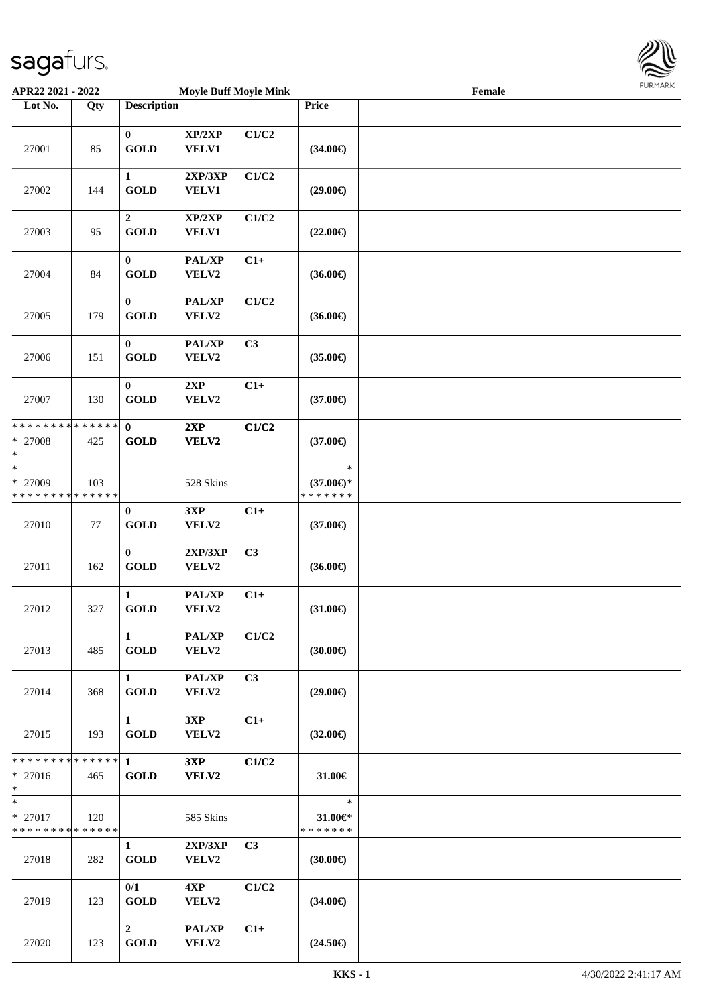

| APR22 2021 - 2022                                  |     |                                       | <b>Moyle Buff Moyle Mink</b> |                |                                                | Female |  |
|----------------------------------------------------|-----|---------------------------------------|------------------------------|----------------|------------------------------------------------|--------|--|
| Lot No.                                            | Qty | <b>Description</b>                    |                              |                | Price                                          |        |  |
| 27001                                              | 85  | $\bf{0}$<br><b>GOLD</b>               | XP/2XP<br>VELV1              | C1/C2          | $(34.00\epsilon)$                              |        |  |
| 27002                                              | 144 | $\mathbf{1}$<br><b>GOLD</b>           | 2XP/3XP<br><b>VELV1</b>      | C1/C2          | $(29.00\epsilon)$                              |        |  |
| 27003                                              | 95  | $\boldsymbol{2}$<br><b>GOLD</b>       | XP/2XP<br><b>VELV1</b>       | C1/C2          | $(22.00\epsilon)$                              |        |  |
| 27004                                              | 84  | $\bf{0}$<br><b>GOLD</b>               | PAL/XP<br>VELV2              | $C1+$          | $(36.00\epsilon)$                              |        |  |
| 27005                                              | 179 | $\bf{0}$<br><b>GOLD</b>               | PAL/XP<br>VELV2              | C1/C2          | $(36.00\epsilon)$                              |        |  |
| 27006                                              | 151 | $\bf{0}$<br><b>GOLD</b>               | PAL/XP<br>VELV2              | C3             | $(35.00\epsilon)$                              |        |  |
| 27007                                              | 130 | $\bf{0}$<br><b>GOLD</b>               | 2XP<br>VELV2                 | $C1+$          | $(37.00\epsilon)$                              |        |  |
| * * * * * * * * * * * * * * *<br>* 27008<br>$\ast$ | 425 | $\mathbf{0}$<br>GOLD                  | 2XP<br>VELV2                 | C1/C2          | $(37.00\epsilon)$                              |        |  |
| $\ast$<br>* 27009<br>* * * * * * * * * * * * * *   | 103 |                                       | 528 Skins                    |                | $\ast$<br>$(37.00\epsilon)$ *<br>* * * * * * * |        |  |
| 27010                                              | 77  | $\bf{0}$<br>GOLD                      | 3XP<br>VELV2                 | $C1+$          | $(37.00\epsilon)$                              |        |  |
| 27011                                              | 162 | $\mathbf{0}$<br>$\operatorname{GOLD}$ | 2XP/3XP<br>VELV2             | C3             | $(36.00\epsilon)$                              |        |  |
| 27012                                              | 327 | $\mathbf{1}$<br><b>GOLD</b>           | PAL/XP<br>VELV2              | $C1+$          | $(31.00\epsilon)$                              |        |  |
| 27013                                              | 485 | $\mathbf{1}$<br><b>GOLD</b>           | PAL/XP<br><b>VELV2</b>       | C1/C2          | $(30.00\epsilon)$                              |        |  |
| 27014                                              | 368 | $\mathbf{1}$<br><b>GOLD</b>           | PAL/XP<br><b>VELV2</b>       | C3             | $(29.00\epsilon)$                              |        |  |
| 27015                                              | 193 | $\mathbf{1}$<br><b>GOLD</b>           | 3XP<br>VELV2                 | $C1+$          | $(32.00\epsilon)$                              |        |  |
| * * * * * * * * * * * * * * *<br>$* 27016$<br>$*$  | 465 | $\mathbf{1}$<br><b>GOLD</b>           | 3XP<br>VELV2                 | C1/C2          | 31.00€                                         |        |  |
| $*$<br>$* 27017$<br>* * * * * * * * * * * * * *    | 120 |                                       | 585 Skins                    |                | $\ast$<br>31.00€*<br>* * * * * * *             |        |  |
| 27018                                              | 282 | $\mathbf{1}$<br><b>GOLD</b>           | 2XP/3XP<br><b>VELV2</b>      | C <sub>3</sub> | $(30.00\epsilon)$                              |        |  |
| 27019                                              | 123 | 0/1<br><b>GOLD</b>                    | 4XP<br>VELV2                 | C1/C2          | $(34.00\epsilon)$                              |        |  |
| 27020                                              | 123 | $\mathbf{2}$<br><b>GOLD</b>           | PAL/XP<br>VELV2              | $C1+$          | $(24.50\epsilon)$                              |        |  |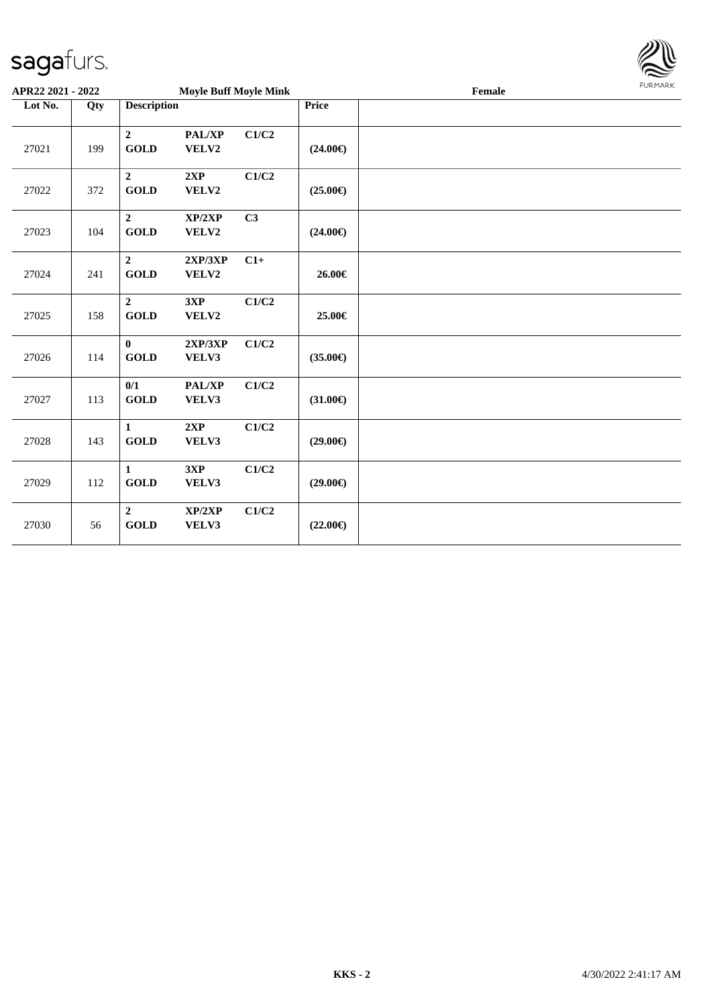

| APR22 2021 - 2022 |     |                                           | <b>Moyle Buff Moyle Mink</b> |                           |                   | Female | <b>FURMARK</b> |
|-------------------|-----|-------------------------------------------|------------------------------|---------------------------|-------------------|--------|----------------|
| Lot No.           | Qty | <b>Description</b>                        |                              |                           | Price             |        |                |
| 27021             | 199 | $\boldsymbol{2}$<br><b>GOLD</b>           | PAL/XP<br>VELV2              | C1/C2                     | $(24.00\epsilon)$ |        |                |
| 27022             | 372 | $\overline{2}$<br><b>GOLD</b>             | $2{\bf XP}$<br>VELV2         | $\mathbf{C1}/\mathbf{C2}$ | $(25.00\epsilon)$ |        |                |
| 27023             | 104 | $\overline{2}$<br><b>GOLD</b>             | XP/2XP<br>VELV2              | C3                        | $(24.00\epsilon)$ |        |                |
| 27024             | 241 | $\boldsymbol{2}$<br>$\operatorname{GOLD}$ | 2XP/3XP<br>VELV2             | $C1+$                     | $26.00 \in$       |        |                |
| 27025             | 158 | $\overline{2}$<br><b>GOLD</b>             | 3XP<br>VELV2                 | $\mathbf{C1}/\mathbf{C2}$ | 25.00€            |        |                |
| 27026             | 114 | $\bf{0}$<br><b>GOLD</b>                   | 2XP/3XP<br>VELV3             | C1/C2                     | $(35.00\epsilon)$ |        |                |
| 27027             | 113 | 0/1<br><b>GOLD</b>                        | PAL/XP<br>VELV3              | C1/C2                     | $(31.00\epsilon)$ |        |                |
| 27028             | 143 | $\mathbf{1}$<br><b>GOLD</b>               | 2XP<br>VELV3                 | C1/C2                     | $(29.00\epsilon)$ |        |                |
| 27029             | 112 | $\mathbf{1}$<br><b>GOLD</b>               | 3XP<br>VELV3                 | C1/C2                     | $(29.00\epsilon)$ |        |                |
| 27030             | 56  | $\overline{2}$<br><b>GOLD</b>             | XP/2XP<br>VELV3              | C1/C2                     | $(22.00\epsilon)$ |        |                |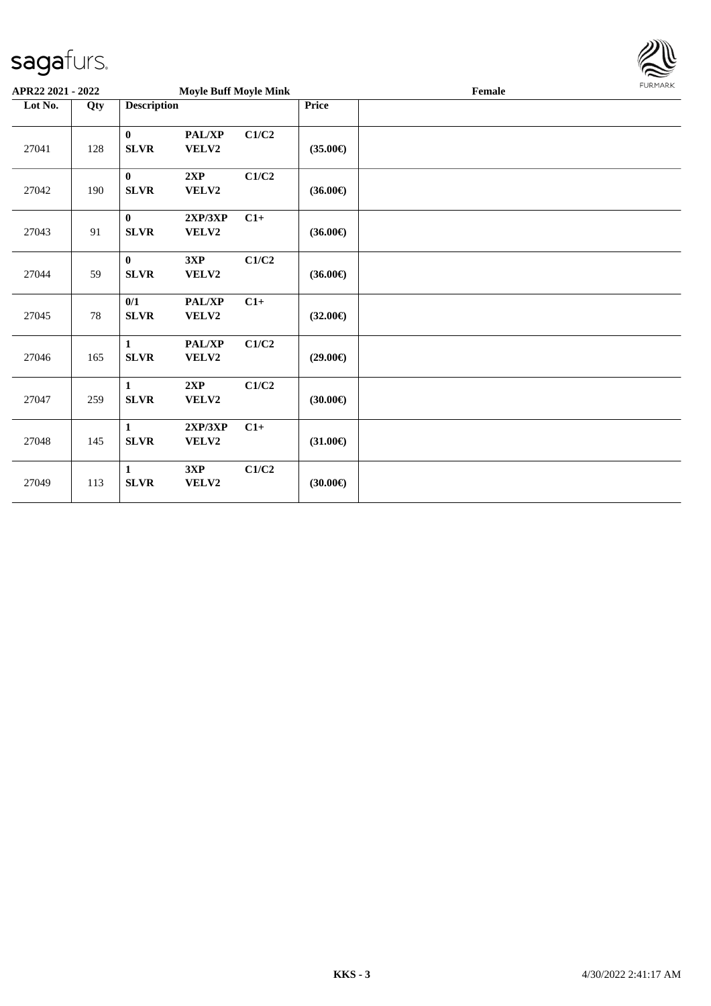

| APR22 2021 - 2022 |        |                             | <b>Moyle Buff Moyle Mink</b> |       |                   | <b>FURMARK</b><br>Female |  |  |
|-------------------|--------|-----------------------------|------------------------------|-------|-------------------|--------------------------|--|--|
| Lot No.           | Qty    | <b>Description</b>          |                              |       | Price             |                          |  |  |
| 27041             | 128    | $\bf{0}$<br><b>SLVR</b>     | <b>PAL/XP</b><br>VELV2       | C1/C2 | $(35.00\epsilon)$ |                          |  |  |
| 27042             | 190    | $\bf{0}$<br>SLVR            | 2XP<br>VELV2                 | C1/C2 | $(36.00\epsilon)$ |                          |  |  |
| 27043             | 91     | $\mathbf{0}$<br><b>SLVR</b> | 2XP/3XP<br>VELV2             | $C1+$ | $(36.00\epsilon)$ |                          |  |  |
| 27044             | 59     | $\bf{0}$<br><b>SLVR</b>     | 3XP<br>VELV2                 | C1/C2 | $(36.00\epsilon)$ |                          |  |  |
| 27045             | $78\,$ | 0/1<br>SLVR                 | PAL/XP<br>VELV2              | $C1+$ | $(32.00\epsilon)$ |                          |  |  |
| 27046             | 165    | $\mathbf{1}$<br><b>SLVR</b> | PAL/XP<br>VELV2              | C1/C2 | $(29.00\epsilon)$ |                          |  |  |
| 27047             | 259    | $\mathbf{1}$<br><b>SLVR</b> | 2XP<br>VELV2                 | C1/C2 | $(30.00\epsilon)$ |                          |  |  |
| 27048             | 145    | $\mathbf{1}$<br><b>SLVR</b> | 2XP/3XP<br>VELV2             | $C1+$ | $(31.00\epsilon)$ |                          |  |  |
| 27049             | 113    | $\mathbf{1}$<br><b>SLVR</b> | 3XP<br>VELV2                 | C1/C2 | $(30.00\epsilon)$ |                          |  |  |